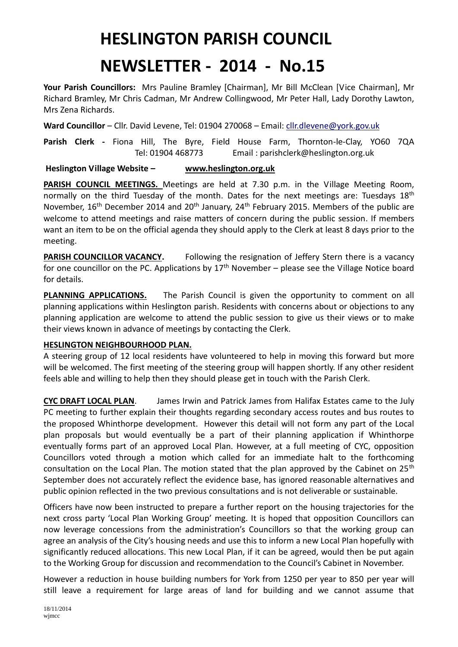## **HESLINGTON PARISH COUNCIL**

## **NEWSLETTER - 2014 - No.15**

**Your Parish Councillors:** Mrs Pauline Bramley [Chairman], Mr Bill McClean [Vice Chairman], Mr Richard Bramley, Mr Chris Cadman, Mr Andrew Collingwood, Mr Peter Hall, Lady Dorothy Lawton, Mrs Zena Richards.

**Ward Councillor** – Cllr. David Levene, Tel: 01904 270068 – Email: [cllr.dlevene@york.gov.uk](mailto:cllr.dlevene@york.gov.uk)

**Parish Clerk -** Fiona Hill, The Byre, Field House Farm, Thornton-le-Clay, YO60 7QA Tel: 01904 468773 Email : parishclerk@heslington.org.uk

## **Heslington Village Website – [www.heslington.org.uk](http://www.heslington.org.uk/)**

PARISH COUNCIL MEETINGS. Meetings are held at 7.30 p.m. in the Village Meeting Room, normally on the third Tuesday of the month. Dates for the next meetings are: Tuesdays  $18<sup>th</sup>$ November, 16<sup>th</sup> December 2014 and 20<sup>th</sup> January, 24<sup>th</sup> February 2015. Members of the public are welcome to attend meetings and raise matters of concern during the public session. If members want an item to be on the official agenda they should apply to the Clerk at least 8 days prior to the meeting.

**PARISH COUNCILLOR VACANCY.** Following the resignation of Jeffery Stern there is a vacancy for one councillor on the PC. Applications by  $17<sup>th</sup>$  November – please see the Village Notice board for details.

**PLANNING APPLICATIONS.** The Parish Council is given the opportunity to comment on all planning applications within Heslington parish. Residents with concerns about or objections to any planning application are welcome to attend the public session to give us their views or to make their views known in advance of meetings by contacting the Clerk.

## **HESLINGTON NEIGHBOURHOOD PLAN.**

A steering group of 12 local residents have volunteered to help in moving this forward but more will be welcomed. The first meeting of the steering group will happen shortly. If any other resident feels able and willing to help then they should please get in touch with the Parish Clerk.

**CYC DRAFT LOCAL PLAN**. James Irwin and Patrick James from Halifax Estates came to the July PC meeting to further explain their thoughts regarding secondary access routes and bus routes to the proposed Whinthorpe development. However this detail will not form any part of the Local plan proposals but would eventually be a part of their planning application if Whinthorpe eventually forms part of an approved Local Plan. However, at a full meeting of CYC, opposition Councillors voted through a motion which called for an immediate halt to the forthcoming consultation on the Local Plan. The motion stated that the plan approved by the Cabinet on 25<sup>th</sup> September does not accurately reflect the evidence base, has ignored reasonable alternatives and public opinion reflected in the two previous consultations and is not deliverable or sustainable.

Officers have now been instructed to prepare a further report on the housing trajectories for the next cross party 'Local Plan Working Group' meeting. It is hoped that opposition Councillors can now leverage concessions from the administration's Councillors so that the working group can agree an analysis of the City's housing needs and use this to inform a new Local Plan hopefully with significantly reduced allocations. This new Local Plan, if it can be agreed, would then be put again to the Working Group for discussion and recommendation to the Council's Cabinet in November.

However a reduction in house building numbers for York from 1250 per year to 850 per year will still leave a requirement for large areas of land for building and we cannot assume that